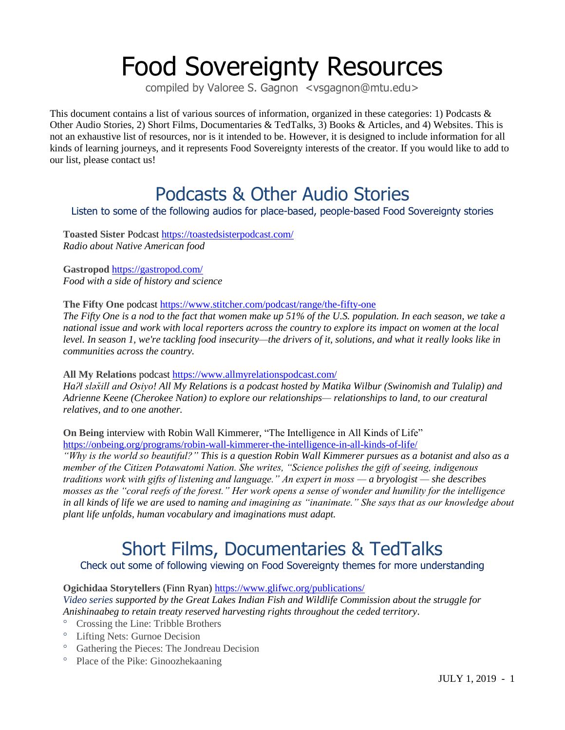# Food Sovereignty Resources

compiled by Valoree S. Gagnon <vsgagnon@mtu.edu>

This document contains a list of various sources of information, organized in these categories: 1) Podcasts & Other Audio Stories, 2) Short Films, Documentaries & TedTalks, 3) Books & Articles, and 4) Websites. This is not an exhaustive list of resources, nor is it intended to be. However, it is designed to include information for all kinds of learning journeys, and it represents Food Sovereignty interests of the creator. If you would like to add to our list, please contact us!

### Podcasts & Other Audio Stories

Listen to some of the following audios for place-based, people-based Food Sovereignty stories

**Toasted Sister** Podcast <https://toastedsisterpodcast.com/> *Radio about Native American food*

**Gastropod** <https://gastropod.com/> *Food with a side of history and science*

**The Fifty One** podcast <https://www.stitcher.com/podcast/range/the-fifty-one>

*The Fifty One is a nod to the fact that women make up 51% of the U.S. population. In each season, we take a national issue and work with local reporters across the country to explore its impact on women at the local level. In season 1, we're tackling food insecurity—the drivers of it, solutions, and what it really looks like in communities across the country.*

**All My Relations** podcast <https://www.allmyrelationspodcast.com/>

*Ha<sup>* $2$ *</sup>l* sla $\dot{\tilde{\chi}}$ *ll and Osivo! All My Relations is a podcast hosted by Matika Wilbur (Swinomish and Tulalip) and Adrienne Keene (Cherokee Nation) to explore our relationships— relationships to land, to our creatural relatives, and to one another.*

**On Being** interview with Robin Wall Kimmerer, "The Intelligence in All Kinds of Life" <https://onbeing.org/programs/robin-wall-kimmerer-the-intelligence-in-all-kinds-of-life/>

"Why is the world so beautiful?" This is a question Robin Wall Kimmerer pursues as a botanist and also as a *member of the Citizen Potawatomi Nation. She writes, "Science polishes the gift of seeing, indigenous traditions work with gifts of listening and language." An expert in moss — a bryologist — she describes mosses as the "coral reefs of the forest." Her work opens a sense of wonder and humility for the intelligence in all kinds of life we are used to naming and imagining as "inanimate." She says that as our knowledge about plant life unfolds, human vocabulary and imaginations must adapt.*

## Short Films, Documentaries & TedTalks

Check out some of following viewing on Food Sovereignty themes for more understanding

**Ogichidaa Storytellers** (Finn Ryan) <https://www.glifwc.org/publications/>

*Video series supported by the Great Lakes Indian Fish and Wildlife Commission about the struggle for Anishinaabeg to retain treaty reserved harvesting rights throughout the ceded territory*.

- Crossing the Line: Tribble Brothers
- Lifting Nets: Gurnoe Decision
- Gathering the Pieces: The Jondreau Decision
- <sup>o</sup> Place of the Pike: Ginoozhekaaning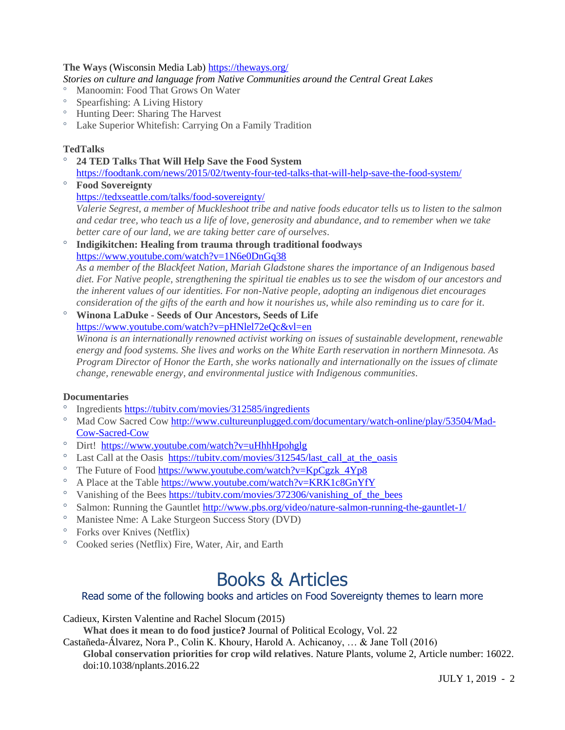#### **The Ways** (Wisconsin Media Lab[\) https://theways.org/](https://theways.org/)

*Stories on culture and language from Native Communities around the Central Great Lakes*

- [Manoomin: Food That Grows On Water](http://theways.org/story/manoomin)
- [Spearfishing: A Living History](http://theways.org/story/spearfishing)
- [Hunting Deer: Sharing The Harvest](http://theways.org/story/hunting-deer)
- [Lake Superior Whitefish: Carrying On a Family Tradition](http://theways.org/story/lake-superior-whitefish)

#### **TedTalks**

- **24 TED Talks That Will Help Save the Food System** <https://foodtank.com/news/2015/02/twenty-four-ted-talks-that-will-help-save-the-food-system/>
- **Food Sovereignty** <https://tedxseattle.com/talks/food-sovereignty/> *Valerie Segrest, a member of Muckleshoot tribe and native foods educator tells us to listen to the salmon and cedar tree, who teach us a life of love, generosity and abundance, and to remember when we take better care of our land, we are taking better care of ourselves*.
- **Indigikitchen: Healing from trauma through traditional foodways** <https://www.youtube.com/watch?v=1N6e0DnGq38>

*As a member of the Blackfeet Nation, Mariah Gladstone shares the importance of an Indigenous based diet. For Native people, strengthening the spiritual tie enables us to see the wisdom of our ancestors and the inherent values of our identities. For non-Native people, adopting an indigenous diet encourages consideration of the gifts of the earth and how it nourishes us, while also reminding us to care for it*.

#### **Winona LaDuke - Seeds of Our Ancestors, Seeds of Life** <https://www.youtube.com/watch?v=pHNlel72eQc&vl=en>

*Winona is an internationally renowned activist working on issues of sustainable development, renewable energy and food systems. She lives and works on the White Earth reservation in northern Minnesota. As Program Director of Honor the Earth, she works nationally and internationally on the issues of climate change, renewable energy, and environmental justice with Indigenous communities*.

#### **Documentaries**

- Ingredients <https://tubitv.com/movies/312585/ingredients>
- <sup>o</sup> Mad Cow Sacred Cow [http://www.cultureunplugged.com/documentary/watch-online/play/53504/Mad-](http://www.cultureunplugged.com/documentary/watch-online/play/53504/Mad-Cow-Sacred-Cow)[Cow-Sacred-Cow](http://www.cultureunplugged.com/documentary/watch-online/play/53504/Mad-Cow-Sacred-Cow)
- Dirt!<https://www.youtube.com/watch?v=uHhhHpohglg>
- $\degree$  Last Call at the Oasis https://tubitv.com/movies/312545/last call at the oasis
- $\degree$  The Future of Food https://www.youtube.com/watch?v=KpCgzk 4Yp8
- <sup>o</sup> A Place at the Table <https://www.youtube.com/watch?v=KRK1c8GnYfY>
- <sup>o</sup> Vanishing of the Bees https://tubity.com/movies/372306/vanishing of the bees
- <sup>o</sup> Salmon: Running the Gauntlet <http://www.pbs.org/video/nature-salmon-running-the-gauntlet-1/>
- Manistee Nme: A Lake Sturgeon Success Story (DVD)
- Forks over Knives (Netflix)
- Cooked series (Netflix) Fire, Water, Air, and Earth

### Books & Articles

#### Read some of the following books and articles on Food Sovereignty themes to learn more

Cadieux, Kirsten Valentine and Rachel Slocum (2015)

**What does it mean to do food justice?** Journal of Political Ecology, Vol. 22

Castañeda-Álvarez, Nora P., Colin K. Khoury, Harold A. Achicanoy, … & Jane Toll (2016)

**Global conservation priorities for crop wild relatives**. Nature Plants, volume 2, Article number: 16022. doi:10.1038/nplants.2016.22